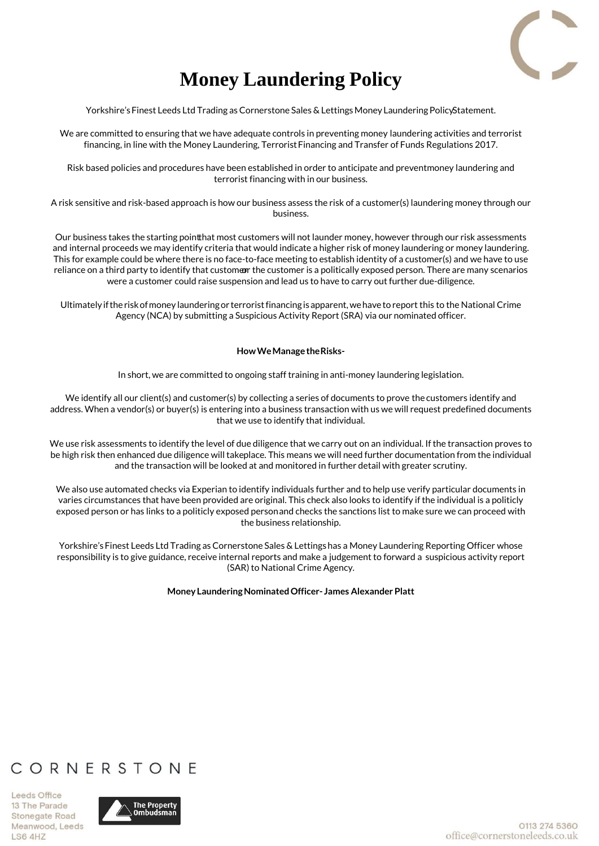

# **Money Laundering Policy**

Yorkshire's Finest Leeds Ltd Trading as Cornerstone Sales & Lettings Money Laundering PolicyStatement.

We are committed to ensuring that we have adequate controls in preventing money laundering activities and terrorist financing, in line with the Money Laundering, Terrorist Financing and Transfer of Funds Regulations 2017.

Risk based policies and procedures have been established in order to anticipate and preventmoney laundering and terrorist financing with in our business.

A risk sensitive and risk-based approach is how our business assess the risk of a customer(s) laundering money through our business.

Our business takes the starting point that most customers will not launder money, however through our risk assessments and internal proceeds we may identify criteria that would indicate a higher risk of money laundering or money laundering. This for example could be where there is no face-to-face meeting to establish identity of a customer(s) and we have to use reliance on a third party to identify that customen the customer is a politically exposed person. There are many scenarios were a customer could raise suspension and lead us to have to carry out further due-diligence.

Ultimately ifthe risk ofmoney laundering or terrorist financing isapparent, wehave to report this to the National Crime Agency (NCA) by submitting a Suspicious Activity Report (SRA) via our nominated officer.

### **How We Manage the Risks-**

In short, we are committed to ongoing staff training in anti-money laundering legislation.

We identify all our client(s) and customer(s) by collecting a series of documents to prove the customers identify and address. When a vendor(s) or buyer(s) is entering into a business transaction with us we will request predefined documents that we use to identify that individual.

We use risk assessments to identify the level of due diligence that we carry out on an individual. If the transaction proves to be high risk then enhanced due diligence will takeplace. This means we will need further documentation from the individual and the transaction will be looked at and monitored in further detail with greater scrutiny.

We also use automated checks via Experian to identify individuals further and to help use verify particular documents in varies circumstances that have been provided are original. This check also looks to identify if the individual is a politicly exposed person or has links to a politicly exposed person and checks the sanctions list to make sure we can proceed with the business relationship.

Yorkshire's Finest Leeds Ltd Trading as Cornerstone Sales & Lettings has a Money Laundering Reporting Officer whose responsibility is to give guidance, receive internal reports and make a judgement to forward a suspicious activity report (SAR) to National Crime Agency.

### **Money Laundering Nominated Officer- James Alexander Platt**

# CORNERSTONE

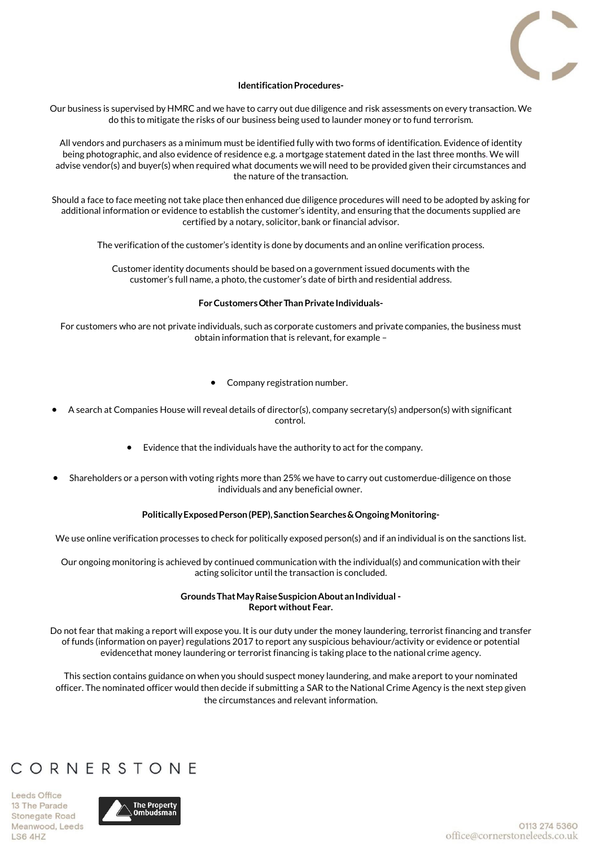

### **Identification Procedures-**

Our business is supervised by HMRC and we have to carry out due diligence and risk assessments on every transaction. We do this to mitigate the risks of our business being used to launder money or to fund terrorism.

All vendors and purchasers as a minimum must be identified fully with two forms of identification. Evidence of identity being photographic, and also evidence of residence e.g. a mortgage statement dated in the last three months. We will advise vendor(s) and buyer(s) when required what documents wewill need to be provided given their circumstances and the nature of the transaction.

Should a face to face meeting not take place then enhanced due diligence procedures will need to be adopted by asking for additional information or evidence to establish the customer's identity, and ensuring that the documents supplied are certified by a notary, solicitor, bank or financial advisor.

The verification of the customer's identity is done by documents and an online verification process.

Customer identity documents should be based on a government issued documents with the customer's full name, a photo, the customer's date of birth and residential address.

### **For Customers Other Than Private Individuals-**

For customers who are not private individuals, such as corporate customers and private companies, the business must obtain information that is relevant, for example –

- Company registration number.
- A search at Companies House will reveal details of director(s), company secretary(s) and person(s) with significant control.
	- Evidence that the individuals have the authority to act for the company.
- Shareholders or a person with voting rights more than 25% we have to carry out customerdue-diligence on those individuals and any beneficial owner.

### **Politically Exposed Person (PEP), Sanction Searches & Ongoing Monitoring-**

We use online verification processes to check for politically exposed person(s) and if an individual is on the sanctions list.

Our ongoing monitoring is achieved by continued communication with the individual(s) and communication with their acting solicitor until the transaction is concluded.

### **Grounds That May Raise Suspicion About an Individual - Report without Fear.**

Do not fear that making a report will expose you. It is our duty under the money laundering, terrorist financing and transfer of funds (information on payer) regulations 2017 to report any suspicious behaviour/activity or evidence or potential evidence that money laundering or terrorist financing is taking place to the national crime agency.

This section contains guidance on when you should suspect money laundering, and make a report to your nominated officer. The nominated officer would then decide if submitting a SAR to the National Crime Agency is the next step given the circumstances and relevant information.

# CORNERSTONE

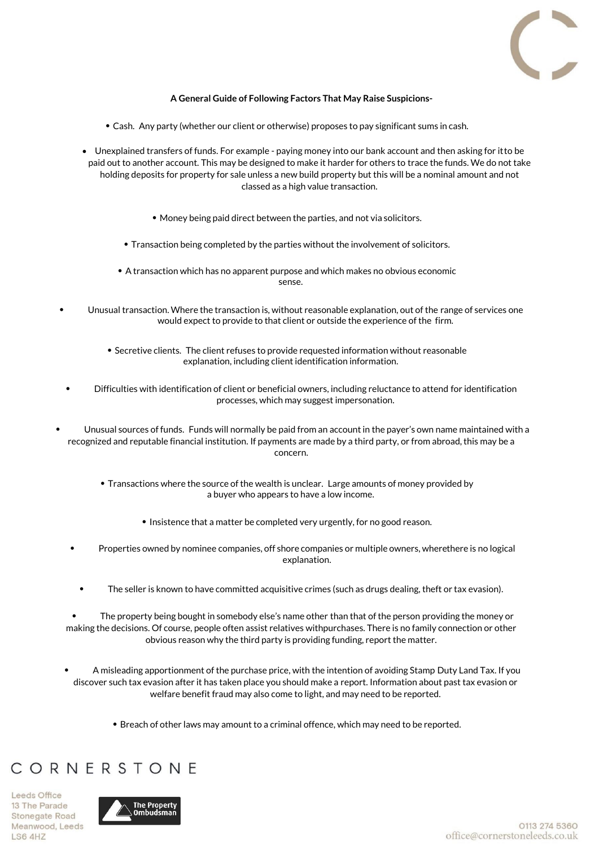

### **A General Guide of Following Factors That May Raise Suspicions-**

- Cash. Any party (whether our client or otherwise) proposes to pay significant sums in cash.
- Unexplained transfers of funds. For example paying money into our bank account and then asking for it to be paid out to another account. This may be designed to make it harder for others to trace the funds. We do not take holding deposits for property for sale unless a new build property but this will be a nominal amount and not classed as a high value transaction.
	- Money being paid direct between the parties, and not via solicitors.
	- Transaction being completed by the parties without the involvement of solicitors.
	- A transaction which has no apparent purpose and which makes no obvious economic sense.
- Unusual transaction. Where the transaction is, without reasonable explanation, out of the range of services one would expect to provide to that client or outside the experience of the firm.
	- Secretive clients. The client refuses to provide requested information without reasonable explanation, including client identification information.
- Difficulties with identification of client or beneficial owners, including reluctance to attend for identification processes, which may suggest impersonation.
- Unusual sources of funds. Funds will normally be paid from an account in the payer's own name maintained with a recognized and reputable financial institution. If payments are made by a third party, or from abroad, this may be a concern.
	- Transactions where the source of the wealth is unclear. Large amounts of money provided by a buyer who appears to have a low income.
		- Insistence that a matter be completed very urgently, for no good reason.
	- Properties owned by nominee companies, off shore companies or multiple owners, wherethere is no logical explanation.
		- The seller is known to have committed acquisitive crimes (such as drugs dealing, theft or tax evasion).

• The property being bought in somebody else's name other than that of the person providing the money or making the decisions. Of course, people often assist relatives with purchases. There is no family connection or other obvious reason why the third party is providing funding, report the matter.

- A misleading apportionment of the purchase price, with the intention of avoiding Stamp Duty Land Tax. If you discover such tax evasion after it has taken place you should make a report. Information about past tax evasion or welfare benefit fraud may also come to light, and may need to be reported.
	- Breach of other laws may amount to a criminal offence, which may need to be reported.

### CORNERSTONE

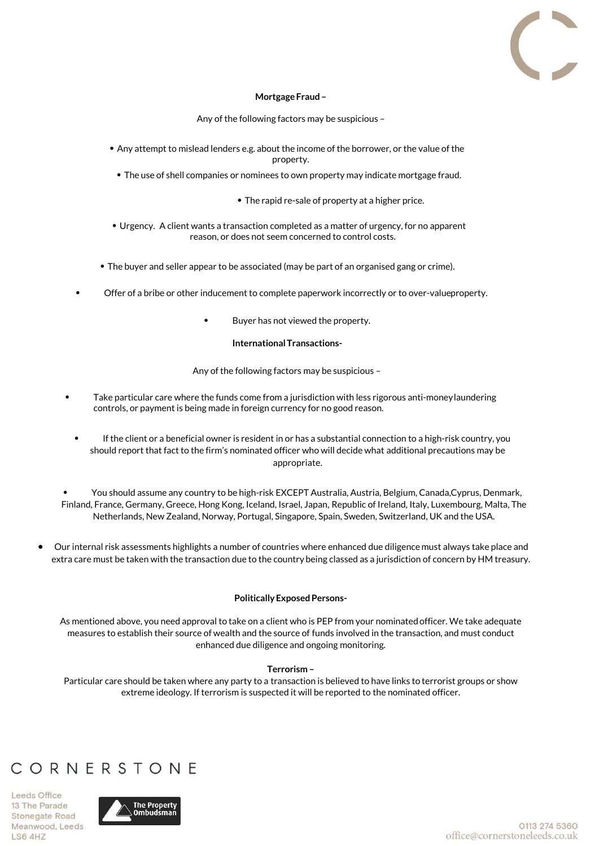

### **Mortgage Fraud –**

Any of the following factors may be suspicious –

- Any attempt to mislead lenders e.g. about the income of the borrower, or the value of the property.
	- The use of shell companies or nominees to own property may indicate mortgage fraud.
		- The rapid re-sale of property at a higher price.
- Urgency. A client wants a transaction completed as a matter of urgency, for no apparent reason, or does not seem concerned to control costs.
- The buyer and seller appear to be associated (may be part of an organised gang or crime).
- Offer of a bribe or other inducement to complete paperwork incorrectly or to over-value property.
	- Buyer has not viewed the property.

#### **International Transactions-**

Any of the following factors may be suspicious –

- Take particular care where the funds come from a jurisdiction with less rigorous anti-money laundering controls, or payment is being made in foreign currency for no good reason.
	- If the client or a beneficial owner is resident in or has a substantial connection to a high-risk country, you should report that fact to the firm's nominated officer who will decide what additional precautions may be appropriate.
- You should assume any country to be high-risk EXCEPT Australia, Austria, Belgium, Canada, Cyprus, Denmark, Finland, France, Germany, Greece, Hong Kong, Iceland, Israel, Japan, Republic of Ireland, Italy, Luxembourg, Malta, The Netherlands, New Zealand, Norway, Portugal, Singapore, Spain, Sweden, Switzerland, UK and the USA.
- Our internal risk assessments highlights a number of countries where enhanced due diligence must always take place and extra care must be taken with the transaction due to the country being classed as a jurisdiction of concern by HM treasury.

### **Politically Exposed Persons-**

As mentioned above, you need approval to take on a client who is PEP from your nominated officer. We take adequate measures to establish their source of wealth and the source of funds involved in the transaction, and must conduct enhanced due diligence and ongoing monitoring.

#### **Terrorism –**

Particular care should be taken where any party to a transaction is believed to have links to terrorist groups or show extreme ideology. If terrorism is suspected it will be reported to the nominated officer.

### CORNERSTONE